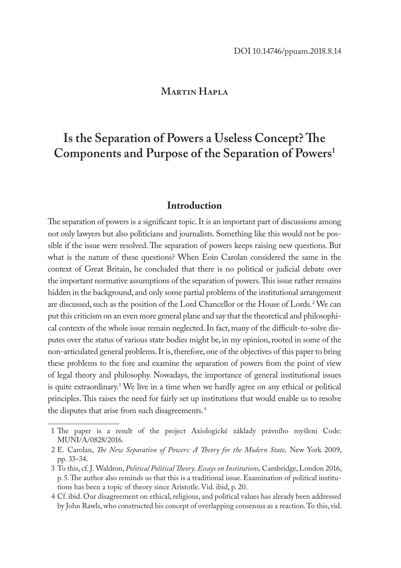## **Martin Hapla**

# **Is the Separation of Powers a Useless Concept? The Components and Purpose of the Separation of Powers1**

## **Introduction**

The separation of powers is a significant topic. It is an important part of discussions among not only lawyers but also politicians and journalists. Something like this would not be possible if the issue were resolved. The separation of powers keeps raising new questions. But what is the nature of these questions? When Eoin Carolan considered the same in the context of Great Britain, he concluded that there is no political or judicial debate over the important normative assumptions of the separation of powers. This issue rather remains hidden in the background, and only some partial problems of the institutional arrangement are discussed, such as the position of the Lord Chancellor or the House of Lords.2 We can put this criticism on an even more general plane and say that the theoretical and philosophical contexts of the whole issue remain neglected. In fact, many of the difficult-to-solve disputes over the status of various state bodies might be, in my opinion, rooted in some of the non-articulated general problems. It is, therefore, one of the objectives of this paper to bring these problems to the fore and examine the separation of powers from the point of view of legal theory and philosophy. Nowadays, the importance of general institutional issues is quite extraordinary.3 We live in a time when we hardly agree on any ethical or political principles. This raises the need for fairly set up institutions that would enable us to resolve the disputes that arise from such disagreements.<sup>4</sup>

<sup>1</sup> The paper is a result of the project Axiologické základy právního myšlení Code: MUNI/A/0828/2016.

<sup>2</sup> E. Carolan, *The New Separation of Powers: A Theory for the Modern State,* New York 2009, pp. 33–34.

<sup>3</sup> To this, cf. J. Waldron, *Political Political Theory. Essays on Institutions,* Cambridge, London 2016, p. 5. The author also reminds us that this is a traditional issue. Examination of political institutions has been a topic of theory since Aristotle. Vid. ibid, p. 20.

<sup>4</sup> Cf. ibid. Our disagreement on ethical, religious, and political values has already been addressed by John Rawls, who constructed his concept of overlapping consensus as a reaction. To this, vid.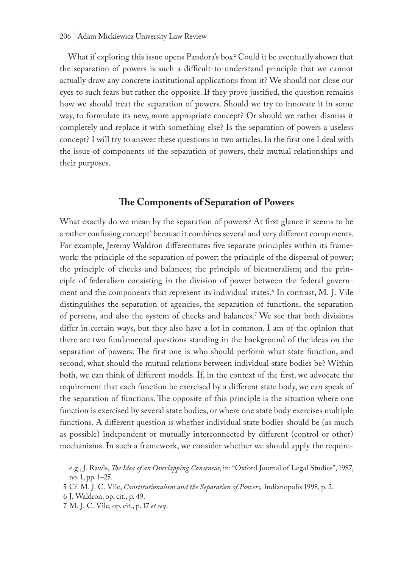#### 206 | Adam Mickiewicz University Law Review

What if exploring this issue opens Pandora's box? Could it be eventually shown that the separation of powers is such a difficult-to-understand principle that we cannot actually draw any concrete institutional applications from it? We should not close our eyes to such fears but rather the opposite. If they prove justified, the question remains how we should treat the separation of powers. Should we try to innovate it in some way, to formulate its new, more appropriate concept? Or should we rather dismiss it completely and replace it with something else? Is the separation of powers a useless concept? I will try to answer these questions in two articles. In the first one I deal with the issue of components of the separation of powers, their mutual relationships and their purposes.

### **The Components of Separation of Powers**

What exactly do we mean by the separation of powers? At first glance it seems to be a rather confusing concept<sup>s</sup> because it combines several and very different components. For example, Jeremy Waldron differentiates five separate principles within its framework: the principle of the separation of power; the principle of the dispersal of power; the principle of checks and balances; the principle of bicameralism; and the principle of federalism consisting in the division of power between the federal government and the components that represent its individual states.<sup>6</sup> In contrast, M. J. Vile distinguishes the separation of agencies, the separation of functions, the separation of persons, and also the system of checks and balances.7 We see that both divisions differ in certain ways, but they also have a lot in common. I am of the opinion that there are two fundamental questions standing in the background of the ideas on the separation of powers: The first one is who should perform what state function, and second, what should the mutual relations between individual state bodies be? Within both, we can think of different models. If, in the context of the first, we advocate the requirement that each function be exercised by a different state body, we can speak of the separation of functions. The opposite of this principle is the situation where one function is exercised by several state bodies, or where one state body exercises multiple functions. A different question is whether individual state bodies should be (as much as possible) independent or mutually interconnected by different (control or other) mechanisms. In such a framework, we consider whether we should apply the require-

e.g., J. Rawls, *The Idea of an Overlapping Consensus*, in: "Oxford Journal of Legal Studies", 1987, no. 1, pp. 1–25.

<sup>5</sup> Cf. M. J. C. Vile, *Constitutionalism and the Separation of Powers,* Indianopolis 1998, p. 2.

<sup>6</sup> J. Waldron, op. cit., p. 49.

<sup>7</sup> M. J. C. Vile, op. cit., p. 17 *et seq*.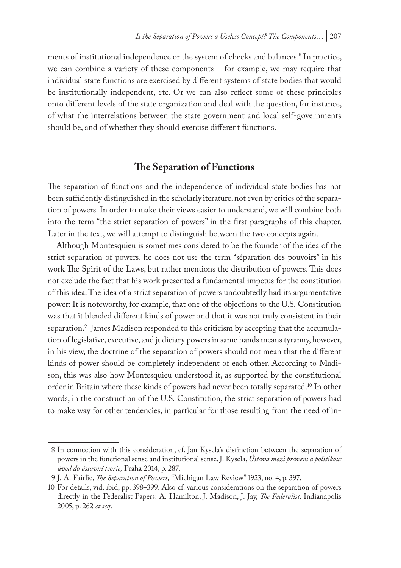ments of institutional independence or the system of checks and balances.8 In practice, we can combine a variety of these components – for example, we may require that individual state functions are exercised by different systems of state bodies that would be institutionally independent, etc. Or we can also reflect some of these principles onto different levels of the state organization and deal with the question, for instance, of what the interrelations between the state government and local self-governments should be, and of whether they should exercise different functions.

## **The Separation of Functions**

The separation of functions and the independence of individual state bodies has not been sufficiently distinguished in the scholarly iterature, not even by critics of the separation of powers. In order to make their views easier to understand, we will combine both into the term "the strict separation of powers" in the first paragraphs of this chapter. Later in the text, we will attempt to distinguish between the two concepts again.

Although Montesquieu is sometimes considered to be the founder of the idea of the strict separation of powers, he does not use the term "séparation des pouvoirs" in his work The Spirit of the Laws, but rather mentions the distribution of powers. This does not exclude the fact that his work presented a fundamental impetus for the constitution of this idea. The idea of a strict separation of powers undoubtedly had its argumentative power: It is noteworthy, for example, that one of the objections to the U.S. Constitution was that it blended different kinds of power and that it was not truly consistent in their separation.9 James Madison responded to this criticism by accepting that the accumulation of legislative, executive, and judiciary powers in same hands means tyranny, however, in his view, the doctrine of the separation of powers should not mean that the different kinds of power should be completely independent of each other. According to Madison, this was also how Montesquieu understood it, as supported by the constitutional order in Britain where these kinds of powers had never been totally separated.10 In other words, in the construction of the U.S. Constitution, the strict separation of powers had to make way for other tendencies, in particular for those resulting from the need of in-

<sup>8</sup> In connection with this consideration, cf. Jan Kysela's distinction between the separation of powers in the functional sense and institutional sense. J. Kysela, *Ústava mezi právem a politikou: úvod do ústavní teorie,* Praha 2014, p. 287.

<sup>9</sup> J. A. Fairlie, *The Separation of Powers,* "Michigan Law Review" 1923, no. 4, p. 397.

<sup>10</sup> For details, vid. ibid, pp. 398–399. Also cf. various considerations on the separation of powers directly in the Federalist Papers: A. Hamilton, J. Madison, J. Jay, *The Federalist,* Indianapolis 2005, p. 262 *et seq*.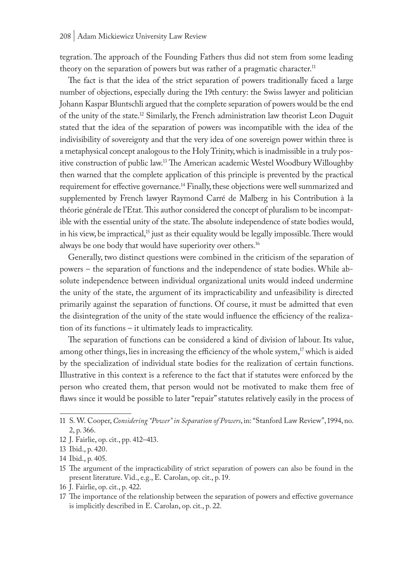tegration. The approach of the Founding Fathers thus did not stem from some leading theory on the separation of powers but was rather of a pragmatic character.<sup>11</sup>

The fact is that the idea of the strict separation of powers traditionally faced a large number of objections, especially during the 19th century: the Swiss lawyer and politician Johann Kaspar Bluntschli argued that the complete separation of powers would be the end of the unity of the state.12 Similarly, the French administration law theorist Leon Duguit stated that the idea of the separation of powers was incompatible with the idea of the indivisibility of sovereignty and that the very idea of one sovereign power within three is a metaphysical concept analogous to the Holy Trinity, which is inadmissible in a truly positive construction of public law.13 The American academic Westel Woodbury Willoughby then warned that the complete application of this principle is prevented by the practical requirement for effective governance.14 Finally, these objections were well summarized and supplemented by French lawyer Raymond Carré de Malberg in his Contribution à la théorie générale de l'Etat. This author considered the concept of pluralism to be incompatible with the essential unity of the state. The absolute independence of state bodies would, in his view, be impractical,<sup>15</sup> just as their equality would be legally impossible. There would always be one body that would have superiority over others.<sup>16</sup>

Generally, two distinct questions were combined in the criticism of the separation of powers – the separation of functions and the independence of state bodies. While absolute independence between individual organizational units would indeed undermine the unity of the state, the argument of its impracticability and unfeasibility is directed primarily against the separation of functions. Of course, it must be admitted that even the disintegration of the unity of the state would influence the efficiency of the realization of its functions – it ultimately leads to impracticality.

The separation of functions can be considered a kind of division of labour. Its value, among other things, lies in increasing the efficiency of the whole system,<sup>17</sup> which is aided by the specialization of individual state bodies for the realization of certain functions. Illustrative in this context is a reference to the fact that if statutes were enforced by the person who created them, that person would not be motivated to make them free of flaws since it would be possible to later "repair" statutes relatively easily in the process of

12 J. Fairlie, op. cit., pp. 412–413.

16 J. Fairlie, op. cit., p. 422.

<sup>11</sup> S. W. Cooper, *Considering "Power" in Separation of Powers*, in: "Stanford Law Review", 1994, no. 2, p. 366.

<sup>13</sup> Ibid., p. 420.

<sup>14</sup> Ibid., p. 405.

<sup>15</sup> The argument of the impracticability of strict separation of powers can also be found in the present literature. Vid., e.g., E. Carolan, op. cit., p. 19.

<sup>17</sup> The importance of the relationship between the separation of powers and effective governance is implicitly described in E. Carolan, op. cit., p. 22.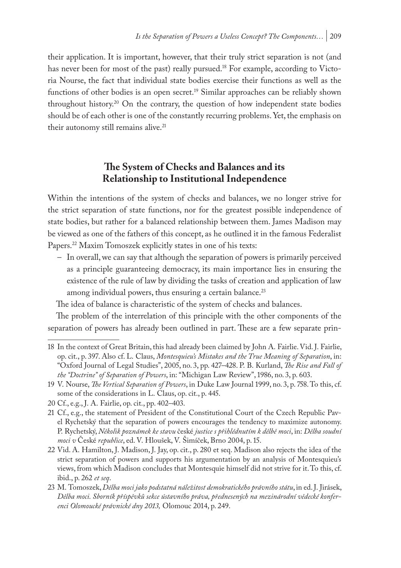their application. It is important, however, that their truly strict separation is not (and has never been for most of the past) really pursued.<sup>18</sup> For example, according to Victoria Nourse, the fact that individual state bodies exercise their functions as well as the functions of other bodies is an open secret.<sup>19</sup> Similar approaches can be reliably shown throughout history.<sup>20</sup> On the contrary, the question of how independent state bodies should be of each other is one of the constantly recurring problems. Yet, the emphasis on their autonomy still remains alive.<sup>21</sup>

## **The System of Checks and Balances and its Relationship to Institutional Independence**

Within the intentions of the system of checks and balances, we no longer strive for the strict separation of state functions, nor for the greatest possible independence of state bodies, but rather for a balanced relationship between them. James Madison may be viewed as one of the fathers of this concept, as he outlined it in the famous Federalist Papers.<sup>22</sup> Maxim Tomoszek explicitly states in one of his texts:

– In overall, we can say that although the separation of powers is primarily perceived as a principle guaranteeing democracy, its main importance lies in ensuring the existence of the rule of law by dividing the tasks of creation and application of law among individual powers, thus ensuring a certain balance.<sup>23</sup>

The idea of balance is characteristic of the system of checks and balances.

The problem of the interrelation of this principle with the other components of the separation of powers has already been outlined in part. These are a few separate prin-

<sup>18</sup> In the context of Great Britain, this had already been claimed by John A. Fairlie. Vid. J. Fairlie, op. cit., p. 397. Also cf. L. Claus, *Montesquieu's Mistakes and the True Meaning of Separation*, in: "Oxford Journal of Legal Studies", 2005, no. 3, pp. 427–428. P. B. Kurland, *The Rise and Fall of the "Doctrine" of Separation of Powers*, in: "Michigan Law Review", 1986, no. 3, p. 603.

<sup>19</sup> V. Nourse, *The Vertical Separation of Powers*, in Duke Law Journal 1999, no. 3, p. 758. To this, cf. some of the considerations in L. Claus, op. cit., p. 445.

<sup>20</sup> Cf., e.g., J. A. Fairlie, op. cit., pp. 402–403.

<sup>21</sup> Cf., e.g., the statement of President of the Constitutional Court of the Czech Republic Pavel Rychetský that the separation of powers encourages the tendency to maximize autonomy. P. Rychetský, *Několik poznámek ke stavu* české *justice s přihlédnutím k dělbě moci*, in: *Dělba soudní moci v* České *republice*, ed. V. Hloušek, V. Šimíček, Brno 2004, p. 15.

<sup>22</sup> Vid. A. Hamilton, J. Madison, J. Jay, op. cit., p. 280 et seq. Madison also rejects the idea of the strict separation of powers and supports his argumentation by an analysis of Montesquieu's views, from which Madison concludes that Montesquie himself did not strive for it. To this, cf. ibid., p. 262 *et seq*.

<sup>23</sup> M. Tomoszek, *Dělba moci jako podstatná náležitost demokratického právního státu*, in ed. J. Jirásek, *Dělba moci. Sborník příspěvků sekce ústavního práva, přednesených na mezinárodní vědecké konferenci Olomoucké právnické dny 2013,* Olomouc 2014, p. 249.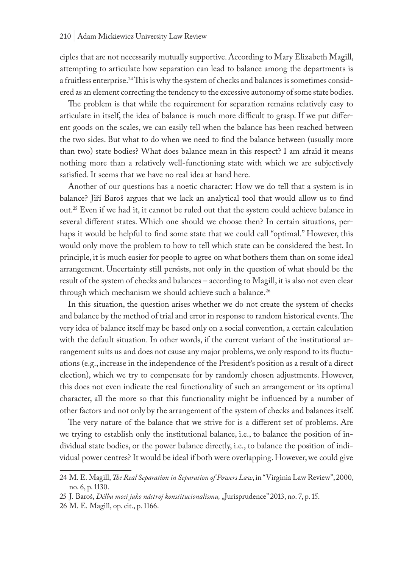ciples that are not necessarily mutually supportive. According to Mary Elizabeth Magill, attempting to articulate how separation can lead to balance among the departments is a fruitless enterprise.<sup>24</sup> This is why the system of checks and balances is sometimes considered as an element correcting the tendency to the excessive autonomy of some state bodies.

The problem is that while the requirement for separation remains relatively easy to articulate in itself, the idea of balance is much more difficult to grasp. If we put different goods on the scales, we can easily tell when the balance has been reached between the two sides. But what to do when we need to find the balance between (usually more than two) state bodies? What does balance mean in this respect? I am afraid it means nothing more than a relatively well-functioning state with which we are subjectively satisfied. It seems that we have no real idea at hand here.

Another of our questions has a noetic character: How we do tell that a system is in balance? Jiří Baroš argues that we lack an analytical tool that would allow us to find out.25 Even if we had it, it cannot be ruled out that the system could achieve balance in several different states. Which one should we choose then? In certain situations, perhaps it would be helpful to find some state that we could call "optimal." However, this would only move the problem to how to tell which state can be considered the best. In principle, it is much easier for people to agree on what bothers them than on some ideal arrangement. Uncertainty still persists, not only in the question of what should be the result of the system of checks and balances – according to Magill, it is also not even clear through which mechanism we should achieve such a balance.<sup>26</sup>

In this situation, the question arises whether we do not create the system of checks and balance by the method of trial and error in response to random historical events. The very idea of balance itself may be based only on a social convention, a certain calculation with the default situation. In other words, if the current variant of the institutional arrangement suits us and does not cause any major problems, we only respond to its fluctuations (e.g., increase in the independence of the President's position as a result of a direct election), which we try to compensate for by randomly chosen adjustments. However, this does not even indicate the real functionality of such an arrangement or its optimal character, all the more so that this functionality might be influenced by a number of other factors and not only by the arrangement of the system of checks and balances itself.

The very nature of the balance that we strive for is a different set of problems. Are we trying to establish only the institutional balance, i.e., to balance the position of individual state bodies, or the power balance directly, i.e., to balance the position of individual power centres? It would be ideal if both were overlapping. However, we could give

<sup>24</sup> M. E. Magill, *The Real Separation in Separation of Powers Law*, in "Virginia Law Review", 2000, no. 6, p. 1130.

<sup>25</sup> J. Baroš, *Dělba moci jako nástroj konstitucionalismu,* "Jurisprudence" 2013, no. 7, p. 15.

<sup>26</sup> M. E. Magill, op. cit., p. 1166.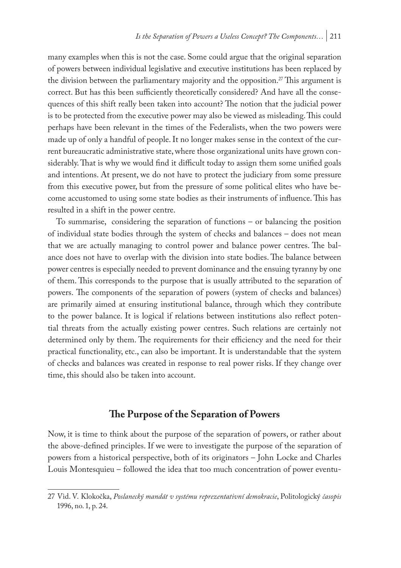many examples when this is not the case. Some could argue that the original separation of powers between individual legislative and executive institutions has been replaced by the division between the parliamentary majority and the opposition.<sup>27</sup> This argument is correct. But has this been sufficiently theoretically considered? And have all the consequences of this shift really been taken into account? The notion that the judicial power is to be protected from the executive power may also be viewed as misleading. This could perhaps have been relevant in the times of the Federalists, when the two powers were made up of only a handful of people. It no longer makes sense in the context of the current bureaucratic administrative state, where those organizational units have grown considerably. That is why we would find it difficult today to assign them some unified goals and intentions. At present, we do not have to protect the judiciary from some pressure from this executive power, but from the pressure of some political elites who have become accustomed to using some state bodies as their instruments of influence. This has resulted in a shift in the power centre.

To summarise, considering the separation of functions – or balancing the position of individual state bodies through the system of checks and balances – does not mean that we are actually managing to control power and balance power centres. The balance does not have to overlap with the division into state bodies. The balance between power centres is especially needed to prevent dominance and the ensuing tyranny by one of them. This corresponds to the purpose that is usually attributed to the separation of powers. The components of the separation of powers (system of checks and balances) are primarily aimed at ensuring institutional balance, through which they contribute to the power balance. It is logical if relations between institutions also reflect potential threats from the actually existing power centres. Such relations are certainly not determined only by them. The requirements for their efficiency and the need for their practical functionality, etc., can also be important. It is understandable that the system of checks and balances was created in response to real power risks. If they change over time, this should also be taken into account.

## **The Purpose of the Separation of Powers**

Now, it is time to think about the purpose of the separation of powers, or rather about the above-defined principles. If we were to investigate the purpose of the separation of powers from a historical perspective, both of its originators – John Locke and Charles Louis Montesquieu – followed the idea that too much concentration of power eventu-

<sup>27</sup> Vid. V. Klokočka, *Poslanecký mandát v systému reprezentativní demokracie*, Politologický *časopis* 1996, no. 1, p. 24.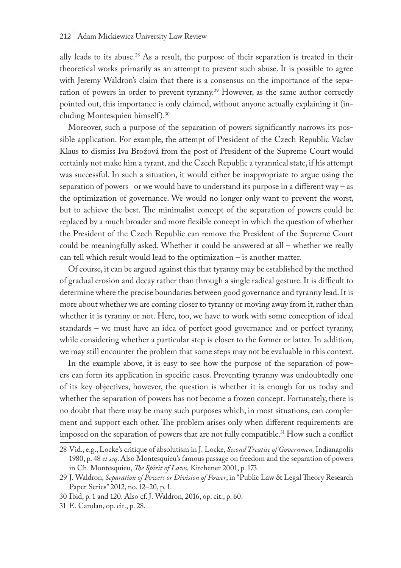ally leads to its abuse.<sup>28</sup> As a result, the purpose of their separation is treated in their theoretical works primarily as an attempt to prevent such abuse. It is possible to agree with Jeremy Waldron's claim that there is a consensus on the importance of the separation of powers in order to prevent tyranny.<sup>29</sup> However, as the same author correctly pointed out, this importance is only claimed, without anyone actually explaining it (including Montesquieu himself ).30

Moreover, such a purpose of the separation of powers significantly narrows its possible application. For example, the attempt of President of the Czech Republic Václav Klaus to dismiss Iva Brožová from the post of President of the Supreme Court would certainly not make him a tyrant, and the Czech Republic a tyrannical state, if his attempt was successful. In such a situation, it would either be inappropriate to argue using the separation of powers or we would have to understand its purpose in a different way – as the optimization of governance. We would no longer only want to prevent the worst, but to achieve the best. The minimalist concept of the separation of powers could be replaced by a much broader and more flexible concept in which the question of whether the President of the Czech Republic can remove the President of the Supreme Court could be meaningfully asked. Whether it could be answered at all – whether we really can tell which result would lead to the optimization – is another matter.

Of course, it can be argued against this that tyranny may be established by the method of gradual erosion and decay rather than through a single radical gesture. It is difficult to determine where the precise boundaries between good governance and tyranny lead. It is more about whether we are coming closer to tyranny or moving away from it, rather than whether it is tyranny or not. Here, too, we have to work with some conception of ideal standards – we must have an idea of perfect good governance and or perfect tyranny, while considering whether a particular step is closer to the former or latter. In addition, we may still encounter the problem that some steps may not be evaluable in this context.

In the example above, it is easy to see how the purpose of the separation of powers can form its application in specific cases. Preventing tyranny was undoubtedly one of its key objectives, however, the question is whether it is enough for us today and whether the separation of powers has not become a frozen concept. Fortunately, there is no doubt that there may be many such purposes which, in most situations, can complement and support each other. The problem arises only when different requirements are imposed on the separation of powers that are not fully compatible.31 How such a conflict

<sup>28</sup> Vid., e.g., Locke's critique of absolutism in J. Locke, *Second Treatise of Governmen,* Indianapolis 1980, p. 48 *et seq*. Also Montesquieu's famous passage on freedom and the separation of powers in Ch. Montesquieu, *The Spirit of Laws,* Kitchener 2001, p. 173.

<sup>29</sup> J. Waldron, *Separation of Powers or Division of Power*, in "Public Law & Legal Theory Research Paper Series" 2012, no. 12–20, p. 1.

<sup>30</sup> Ibid, p. 1 and 120. Also cf. J. Waldron, 2016, op. cit., p. 60.

<sup>31</sup> E. Carolan, op. cit., p. 28.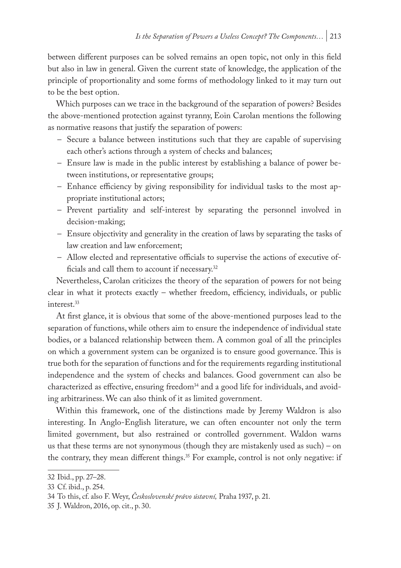between different purposes can be solved remains an open topic, not only in this field but also in law in general. Given the current state of knowledge, the application of the principle of proportionality and some forms of methodology linked to it may turn out to be the best option.

Which purposes can we trace in the background of the separation of powers? Besides the above-mentioned protection against tyranny, Eoin Carolan mentions the following as normative reasons that justify the separation of powers:

- Secure a balance between institutions such that they are capable of supervising each other's actions through a system of checks and balances;
- Ensure law is made in the public interest by establishing a balance of power between institutions, or representative groups;
- Enhance efficiency by giving responsibility for individual tasks to the most appropriate institutional actors;
- Prevent partiality and self-interest by separating the personnel involved in decision-making;
- Ensure objectivity and generality in the creation of laws by separating the tasks of law creation and law enforcement;
- Allow elected and representative officials to supervise the actions of executive officials and call them to account if necessary.32

Nevertheless, Carolan criticizes the theory of the separation of powers for not being clear in what it protects exactly – whether freedom, efficiency, individuals, or public interest.<sup>33</sup>

At first glance, it is obvious that some of the above-mentioned purposes lead to the separation of functions, while others aim to ensure the independence of individual state bodies, or a balanced relationship between them. A common goal of all the principles on which a government system can be organized is to ensure good governance. This is true both for the separation of functions and for the requirements regarding institutional independence and the system of checks and balances. Good government can also be characterized as effective, ensuring freedom<sup>34</sup> and a good life for individuals, and avoiding arbitrariness. We can also think of it as limited government.

Within this framework, one of the distinctions made by Jeremy Waldron is also interesting. In Anglo-English literature, we can often encounter not only the term limited government, but also restrained or controlled government. Waldon warns us that these terms are not synonymous (though they are mistakenly used as such) – on the contrary, they mean different things.<sup>35</sup> For example, control is not only negative: if

<sup>32</sup> Ibid., pp. 27–28.

<sup>33</sup> Cf. ibid., p. 254.

<sup>34</sup> To this, cf. also F. Weyr, *Československé právo ústavní,* Praha 1937, p. 21.

<sup>35</sup> J. Waldron, 2016, op. cit., p. 30.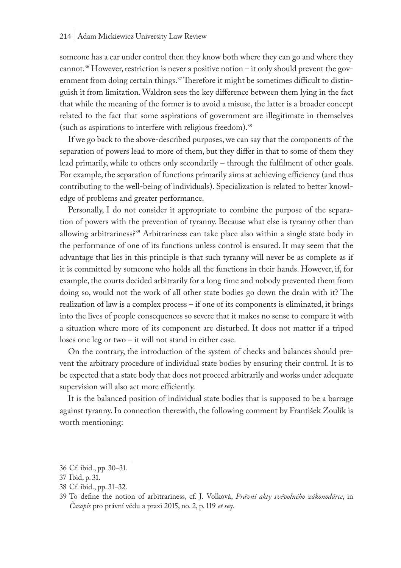#### 214 | Adam Mickiewicz University Law Review

someone has a car under control then they know both where they can go and where they cannot.<sup>36</sup> However, restriction is never a positive notion – it only should prevent the government from doing certain things.<sup>37</sup> Therefore it might be sometimes difficult to distinguish it from limitation. Waldron sees the key difference between them lying in the fact that while the meaning of the former is to avoid a misuse, the latter is a broader concept related to the fact that some aspirations of government are illegitimate in themselves (such as aspirations to interfere with religious freedom).38

If we go back to the above-described purposes, we can say that the components of the separation of powers lead to more of them, but they differ in that to some of them they lead primarily, while to others only secondarily – through the fulfilment of other goals. For example, the separation of functions primarily aims at achieving efficiency (and thus contributing to the well-being of individuals). Specialization is related to better knowledge of problems and greater performance.

Personally, I do not consider it appropriate to combine the purpose of the separation of powers with the prevention of tyranny. Because what else is tyranny other than allowing arbitrariness?39 Arbitrariness can take place also within a single state body in the performance of one of its functions unless control is ensured. It may seem that the advantage that lies in this principle is that such tyranny will never be as complete as if it is committed by someone who holds all the functions in their hands. However, if, for example, the courts decided arbitrarily for a long time and nobody prevented them from doing so, would not the work of all other state bodies go down the drain with it? The realization of law is a complex process – if one of its components is eliminated, it brings into the lives of people consequences so severe that it makes no sense to compare it with a situation where more of its component are disturbed. It does not matter if a tripod loses one leg or two – it will not stand in either case.

On the contrary, the introduction of the system of checks and balances should prevent the arbitrary procedure of individual state bodies by ensuring their control. It is to be expected that a state body that does not proceed arbitrarily and works under adequate supervision will also act more efficiently.

It is the balanced position of individual state bodies that is supposed to be a barrage against tyranny. In connection therewith, the following comment by František Zoulík is worth mentioning:

<sup>36</sup> Cf. ibid., pp. 30–31.

<sup>37</sup> Ibid, p. 31.

<sup>38</sup> Cf. ibid., pp. 31–32.

<sup>39</sup> To define the notion of arbitrariness, cf. J. Volková, *Právní akty svévolného zákonodárce*, in *Časopis* pro právní vědu a praxi 2015, no. 2, p. 119 *et seq*.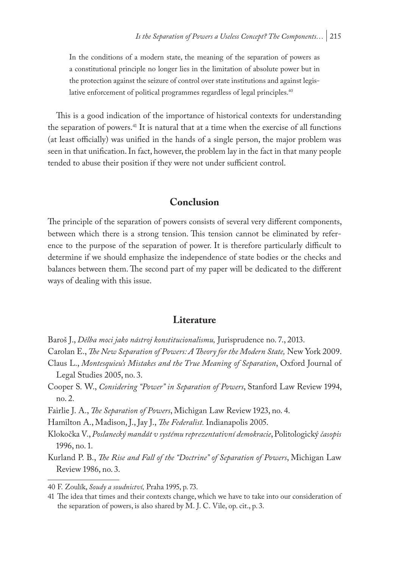In the conditions of a modern state, the meaning of the separation of powers as a constitutional principle no longer lies in the limitation of absolute power but in the protection against the seizure of control over state institutions and against legislative enforcement of political programmes regardless of legal principles.<sup>40</sup>

This is a good indication of the importance of historical contexts for understanding the separation of powers.<sup>41</sup> It is natural that at a time when the exercise of all functions (at least officially) was unified in the hands of a single person, the major problem was seen in that unification. In fact, however, the problem lay in the fact in that many people tended to abuse their position if they were not under sufficient control.

#### **Conclusion**

The principle of the separation of powers consists of several very different components, between which there is a strong tension. This tension cannot be eliminated by reference to the purpose of the separation of power. It is therefore particularly difficult to determine if we should emphasize the independence of state bodies or the checks and balances between them. The second part of my paper will be dedicated to the different ways of dealing with this issue.

#### **Literature**

- Baroš J., *Dělba moci jako nástroj konstitucionalismu,* Jurisprudence no. 7., 2013.
- Carolan E., *The New Separation of Powers: A Theory for the Modern State,* New York 2009.
- Claus L., *Montesquieu's Mistakes and the True Meaning of Separation*, Oxford Journal of Legal Studies 2005, no. 3.
- Cooper S. W., *Considering "Power" in Separation of Powers*, Stanford Law Review 1994, no. 2.

Fairlie J. A., *The Separation of Powers*, Michigan Law Review 1923, no. 4.

Hamilton A., Madison, J., Jay J., *The Federalist.* Indianapolis 2005.

Klokočka V., *Poslanecký mandát v systému reprezentativní demokracie*, Politologický *časopis* 1996, no. 1.

Kurland P. B., *The Rise and Fall of the "Doctrine" of Separation of Powers*, Michigan Law Review 1986, no. 3.

<sup>40</sup> F. Zoulík, *Soudy a soudnictví,* Praha 1995, p. 73.

<sup>41</sup> The idea that times and their contexts change, which we have to take into our consideration of the separation of powers, is also shared by M. J. C. Vile, op. cit., p. 3.